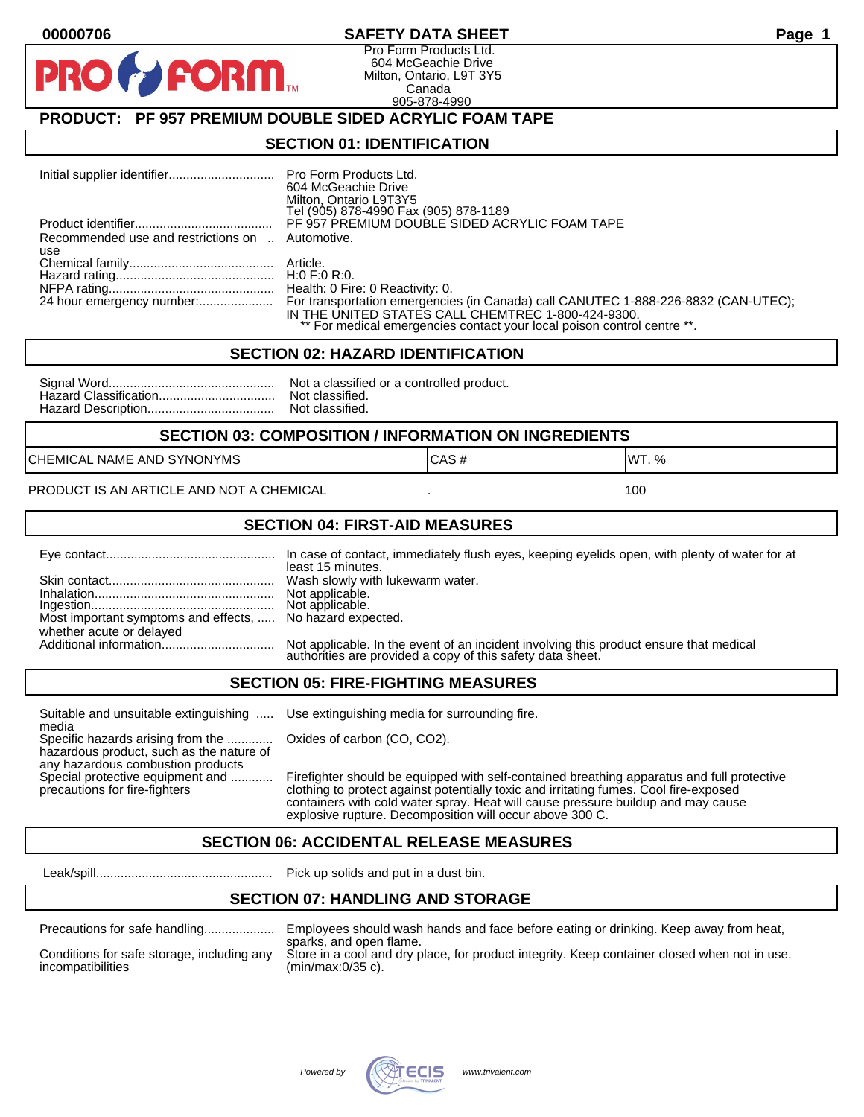#### **00000706 SAFETY DATA SHEET Page 1**

Pro Form Products Ltd. 604 McGeachie Drive Milton, Ontario, L9T 3Y5 Canada 905-878-4990

# **PRODUCT: PF 957 PREMIUM DOUBLE SIDED ACRYLIC FOAM TAPE**

FORM.

#### **SECTION 01: IDENTIFICATION**

|                                                         | Pro Form Products Ltd.<br>604 McGeachie Drive<br>Milton, Ontario L9T3Y5<br>Tel (905) 878-4990 Fax (905) 878-1189                                                                                                    |
|---------------------------------------------------------|---------------------------------------------------------------------------------------------------------------------------------------------------------------------------------------------------------------------|
|                                                         | PF 957 PREMIUM DOUBLE SIDED ACRYLIC FOAM TAPE                                                                                                                                                                       |
| Recommended use and restrictions on  Automotive.<br>use |                                                                                                                                                                                                                     |
|                                                         |                                                                                                                                                                                                                     |
|                                                         |                                                                                                                                                                                                                     |
|                                                         | Health: 0 Fire: 0 Reactivity: 0.                                                                                                                                                                                    |
| 24 hour emergency number:                               | For transportation emergencies (in Canada) call CANUTEC 1-888-226-8832 (CAN-UTEC);<br>IN THE UNITED STATES CALL CHEMTREC 1-800-424-9300.<br>** For medical emergencies contact your local poison control centre **. |

#### **SECTION 02: HAZARD IDENTIFICATION**

| Not a classified or a controlled product. |
|-------------------------------------------|
|                                           |
|                                           |

# **SECTION 03: COMPOSITION / INFORMATION ON INGREDIENTS**

CHEMICAL NAME AND SYNONYMS GAS AND CAS # CAS # WT. %

PRODUCT IS AN ARTICLE AND NOT A CHEMICAL **AND THE SET AND A SET ALL ASSAULT** 100

#### **SECTION 04: FIRST-AID MEASURES**

|                                                                                       | least 15 minutes.                                                                                                                                    |
|---------------------------------------------------------------------------------------|------------------------------------------------------------------------------------------------------------------------------------------------------|
|                                                                                       |                                                                                                                                                      |
| Most important symptoms and effects,  No hazard expected.<br>whether acute or delayed |                                                                                                                                                      |
|                                                                                       | Not applicable. In the event of an incident involving this product ensure that medical<br>authorities are provided a copy of this safety data sheet. |

#### **SECTION 05: FIRE-FIGHTING MEASURES**

Suitable and unsuitable extinguishing ..... Use extinguishing media for surrounding fire. media

Specific hazards arising from the ............. Oxides of carbon (CO, CO2). hazardous product, such as the nature of any hazardous combustion products

Special protective equipment and ............ Firefighter should be equipped with self-contained breathing apparatus and full protective<br>precautions for fire-fighters continent clothing to protect against potentially toxic clothing to protect against potentially toxic and irritating fumes. Cool fire-exposed containers with cold water spray. Heat will cause pressure buildup and may cause explosive rupture. Decomposition will occur above 300 C.

# **SECTION 06: ACCIDENTAL RELEASE MEASURES**

Leak/spill.................................................. Pick up solids and put in a dust bin.

#### **SECTION 07: HANDLING AND STORAGE**

| Precaduoris for safe handling |  |  |
|-------------------------------|--|--|
|                               |  |  |

Precautions for safe handling.................... Employees should wash hands and face before eating or drinking. Keep away from heat, sparks, and open flame. Conditions for safe storage, including any Store in a cool and dry place, for product integrity. Keep container closed when not in use.<br>incompatibilities (min/max:0/35 c).  $(min/max:0/35 c)$ .

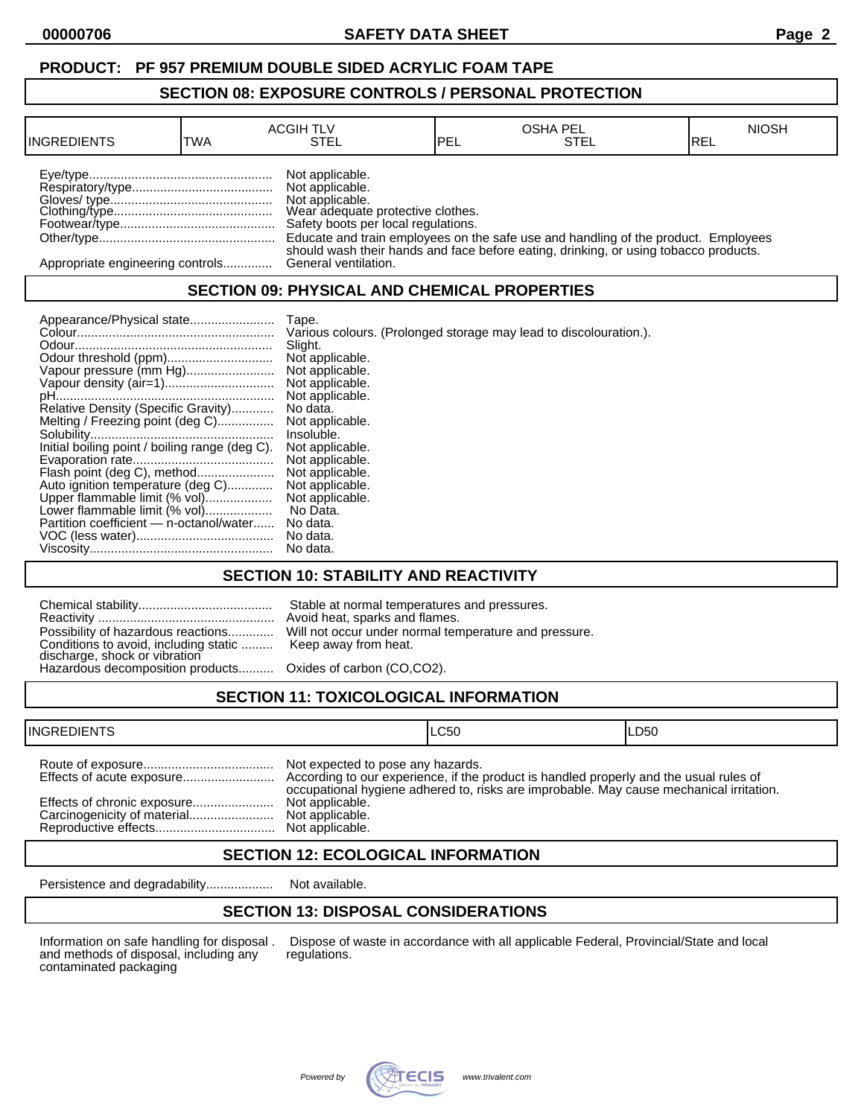#### **PRODUCT: PF 957 PREMIUM DOUBLE SIDED ACRYLIC FOAM TAPE**

#### **SECTION 08: EXPOSURE CONTROLS / PERSONAL PROTECTION**

| <b>INGREDIENTS</b>               | TWA | <b>ACGIH TLV</b><br>STEL                                                                                                          | IPEL | <b>OSHA PEL</b><br>STEL                                                                                                                                                    | <b>NIOSH</b><br>IREL |
|----------------------------------|-----|-----------------------------------------------------------------------------------------------------------------------------------|------|----------------------------------------------------------------------------------------------------------------------------------------------------------------------------|----------------------|
|                                  |     | Not applicable.<br>Not applicable.<br>Not applicable.<br>Wear adequate protective clothes.<br>Safety boots per local regulations. |      | Educate and train employees on the safe use and handling of the product. Employees<br>should wash their hands and face before eating, drinking, or using tobacco products. |                      |
| Appropriate engineering controls |     | General ventilation.                                                                                                              |      |                                                                                                                                                                            |                      |

# **SECTION 09: PHYSICAL AND CHEMICAL PROPERTIES**

|                                                | Tape.                                                             |
|------------------------------------------------|-------------------------------------------------------------------|
|                                                | Various colours. (Prolonged storage may lead to discolouration.). |
|                                                | Slight.                                                           |
|                                                | Not applicable.                                                   |
| Vapour pressure (mm Hg)                        | Not applicable.                                                   |
|                                                | Not applicable.                                                   |
|                                                | Not applicable.                                                   |
| Relative Density (Specific Gravity)            | No data.                                                          |
| Melting / Freezing point (deg C)               | Not applicable.                                                   |
|                                                | Insoluble.                                                        |
| Initial boiling point / boiling range (deg C). | Not applicable.                                                   |
|                                                | Not applicable.                                                   |
| Flash point (deg C), method                    | Not applicable.                                                   |
| Auto ignition temperature (deg C)              | Not applicable.                                                   |
| Upper flammable limit (% vol)                  | Not applicable.                                                   |
| Lower flammable limit (% vol)                  | No Data.                                                          |
| Partition coefficient - n-octanol/water        | No data.                                                          |
|                                                | No data.                                                          |
|                                                | No data.                                                          |

## **SECTION 10: STABILITY AND REACTIVITY**

| Possibility of hazardous reactions Will not occur under normal temperature and pressure.<br>Conditions to avoid, including static  Keep away from heat.<br>discharge, shock or vibration<br>Hazardous decomposition products Oxides of carbon (CO,CO2). | Stable at normal temperatures and pressures.<br>Avoid heat, sparks and flames. |
|---------------------------------------------------------------------------------------------------------------------------------------------------------------------------------------------------------------------------------------------------------|--------------------------------------------------------------------------------|
|                                                                                                                                                                                                                                                         |                                                                                |
|                                                                                                                                                                                                                                                         |                                                                                |

# **SECTION 11: TOXICOLOGICAL INFORMATION**

| <b>INGREDIENTS</b>          |                                                                         | ILC50                                                                                   | ILD50 |
|-----------------------------|-------------------------------------------------------------------------|-----------------------------------------------------------------------------------------|-------|
| Effects of chronic exposure | Not expected to pose any hazards.<br>Not applicable.<br>Not applicable. | occupational hygiene adhered to, risks are improbable. May cause mechanical irritation. |       |

## **SECTION 12: ECOLOGICAL INFORMATION**

Persistence and degradability................... Not available.

# **SECTION 13: DISPOSAL CONSIDERATIONS**

and methods of disposal, including any contaminated packaging

Information on safe handling for disposal . Dispose of waste in accordance with all applicable Federal, Provincial/State and local and methods of disposal, including any regulations.